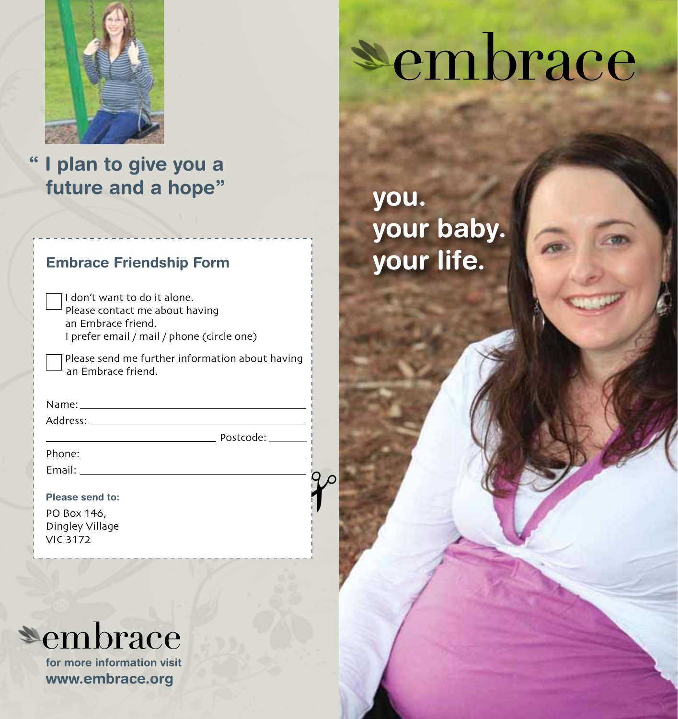

# **" I plan to give you a future and a hope"**

#### **Embrace Friendship Form**

I don't want to do it alone. Please contact me about having an Embrace friend. I prefer email / mail / phone (circle one)

 Please send me further information about having an Embrace friend.

Postcode:

 $\gamma$ 

Name:

Address:

Phone:

Email:

**Please send to:** 

PO Box 146, Dingley Village

VIC 3172

# **\*embrace**

**for more information visit www.embrace.org**

# Sembrace

**you. your baby. your life.**